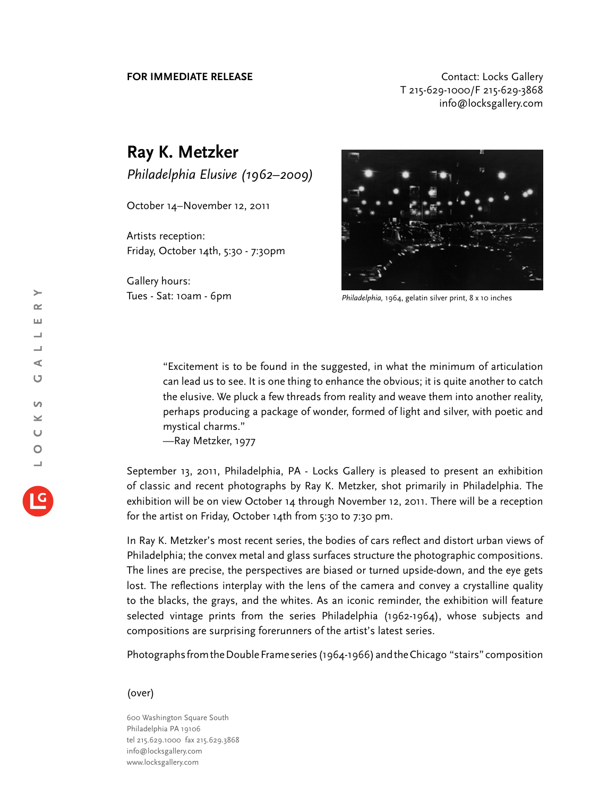## **FOR IMMEDIATE RELEASE CONTACT EXAMPLE ASSESS** T 215-629-1000/F 215-629-3868 info@locksgallery.com

## **Ray K. Metzker**

*Philadelphia Elusive (1962–2009)*

October 14–November 12, 2011

Artists reception: Friday, October 14th, 5:30 - 7:30pm

Gallery hours: Tues - Sat: 10am - 6pm



*Philadelphia,* 1964, gelatin silver print, 8 x 10 inches

"Excitement is to be found in the suggested, in what the minimum of articulation can lead us to see. It is one thing to enhance the obvious; it is quite another to catch the elusive. We pluck a few threads from reality and weave them into another reality, perhaps producing a package of wonder, formed of light and silver, with poetic and mystical charms."

—Ray Metzker, 1977

September 13, 2011, Philadelphia, PA - Locks Gallery is pleased to present an exhibition of classic and recent photographs by Ray K. Metzker, shot primarily in Philadelphia. The exhibition will be on view October 14 through November 12, 2011. There will be a reception for the artist on Friday, October 14th from 5:30 to 7:30 pm.

In Ray K. Metzker's most recent series, the bodies of cars reflect and distort urban views of Philadelphia; the convex metal and glass surfaces structure the photographic compositions. The lines are precise, the perspectives are biased or turned upside-down, and the eye gets lost. The reflections interplay with the lens of the camera and convey a crystalline quality to the blacks, the grays, and the whites. As an iconic reminder, the exhibition will feature selected vintage prints from the series Philadelphia (1962-1964), whose subjects and compositions are surprising forerunners of the artist's latest series.

Photographs from the Double Frame series (1964-1966) and the Chicago "stairs" composition

 $\rightarrow$ 

## (over)

600 Washington Square South Philadelphia PA 19106 tel 215.629.1000 fax 215.629.3868 info@locksgallery.com www.locksgallery.com